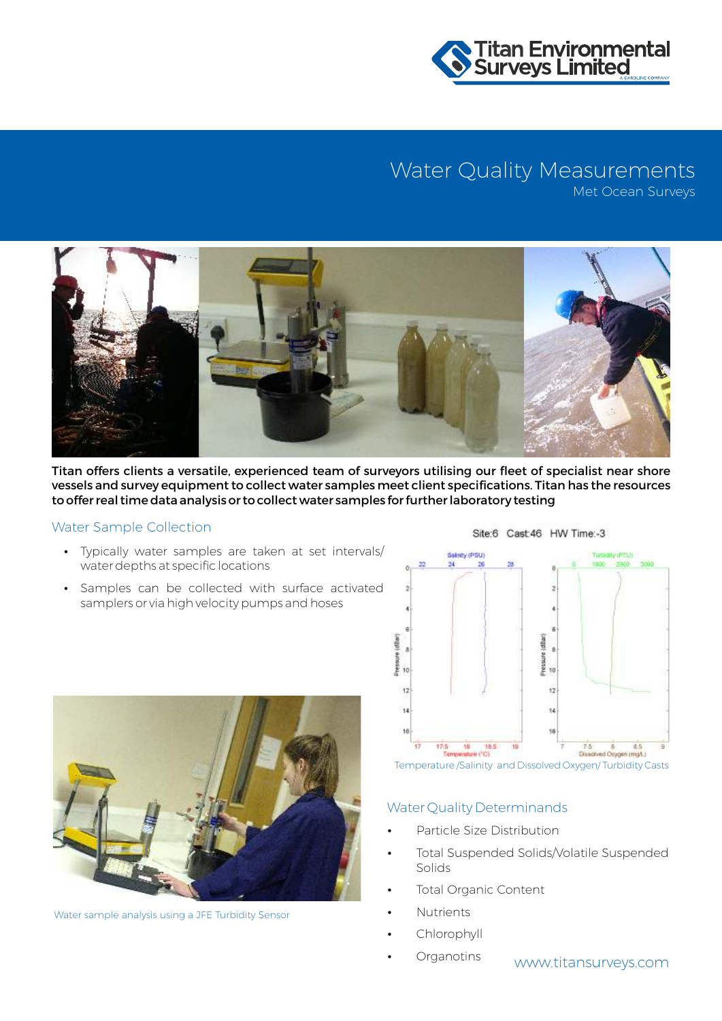

## Water Quality Measurements

Met Ocean Surveys



Titan offers clients a versatile, experienced team of surveyors utilising our fleet of specialist near shore vessels and survey equipment to collect water samples meet client specifications. Titan has the resources to offer real time data analysis or to collect water samples for further laboratory testing

#### Water Sample Collection

- Typically water samples are taken at set intervals/ water depths at specific locations
- Samples can be collected with surface activated samplers or via high velocity pumps and hoses



Water sample analysis using a JFE Turbidity Sensor



Site:6 Cast 46 HW Time:-3

Temperature /Salinity and Dissolved Oxygen/ Turbidity Casts

#### Water Quality Determinands

- Particle Size Distribution
- Total Suspended Solids/Volatile Suspended Solids
- Total Organic Content
- **Nutrients**
- Chlorophyll
- www.titansurveys.com Organotins